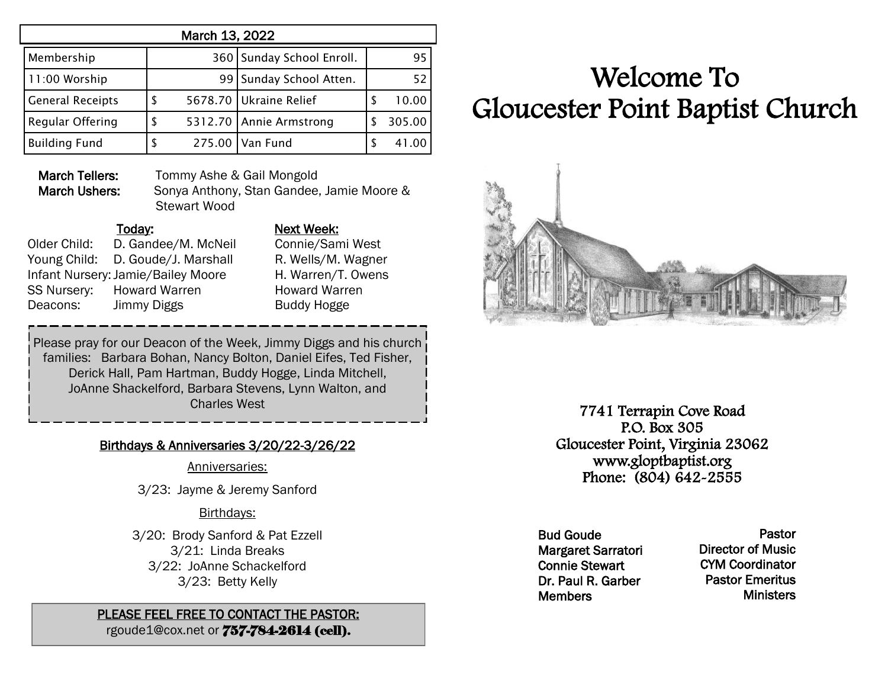| March 13, 2022          |   |        |                           |   |        |  |  |  |  |
|-------------------------|---|--------|---------------------------|---|--------|--|--|--|--|
| Membership              |   |        | 360 Sunday School Enroll. |   | 95     |  |  |  |  |
| 11:00 Worship           |   |        | 99 Sunday School Atten.   |   | 52     |  |  |  |  |
| <b>General Receipts</b> | S |        | 5678.70 Ukraine Relief    | S | 10.00  |  |  |  |  |
| Regular Offering        | S |        | 5312.70 Annie Armstrong   |   | 305.00 |  |  |  |  |
| <b>Building Fund</b>    |   | 275.00 | Van Fund                  |   | 41.00  |  |  |  |  |

March Tellers: Tommy Ashe & Gail Mongold

March Ushers: Sonya Anthony, Stan Gandee, Jamie Moore & Stewart Wood

Older Child: D. Gandee/M. McNeil Connie/Sami West Young Child: D. Goude/J. Marshall R. Wells/M. Wagner Infant Nursery:Jamie/Bailey Moore H. Warren/T. Owens SS Nursery: Howard Warren Howard Warren Deacons: Jimmy Diggs Buddy Hogge

# Today: Next Week:

Please pray for our Deacon of the Week, Jimmy Diggs and his church families: Barbara Bohan, Nancy Bolton, Daniel Eifes, Ted Fisher, Derick Hall, Pam Hartman, Buddy Hogge, Linda Mitchell, JoAnne Shackelford, Barbara Stevens, Lynn Walton, and Charles West

### Birthdays & Anniversaries 3/20/22-3/26/22

Anniversaries:

3/23: Jayme & Jeremy Sanford

### Birthdays:

3/20: Brody Sanford & Pat Ezzell 3/21: Linda Breaks 3/22: JoAnne Schackelford 3/23: Betty Kelly

## PLEASE FEEL FREE TO CONTACT THE PASTOR:

rgoude1@cox.net or 757-784-2614 (cell).

# Welcome To Gloucester Point Baptist Church



7741 Terrapin Cove Road P.O. Box 305 Gloucester Point, Virginia 23062 www.gloptbaptist.org Phone: (804) 642-2555

Bud Goude Margaret Sarratori Connie Stewart Dr. Paul R. Garber **Members** 

Pastor Director of Music CYM Coordinator Pastor Emeritus **Ministers**